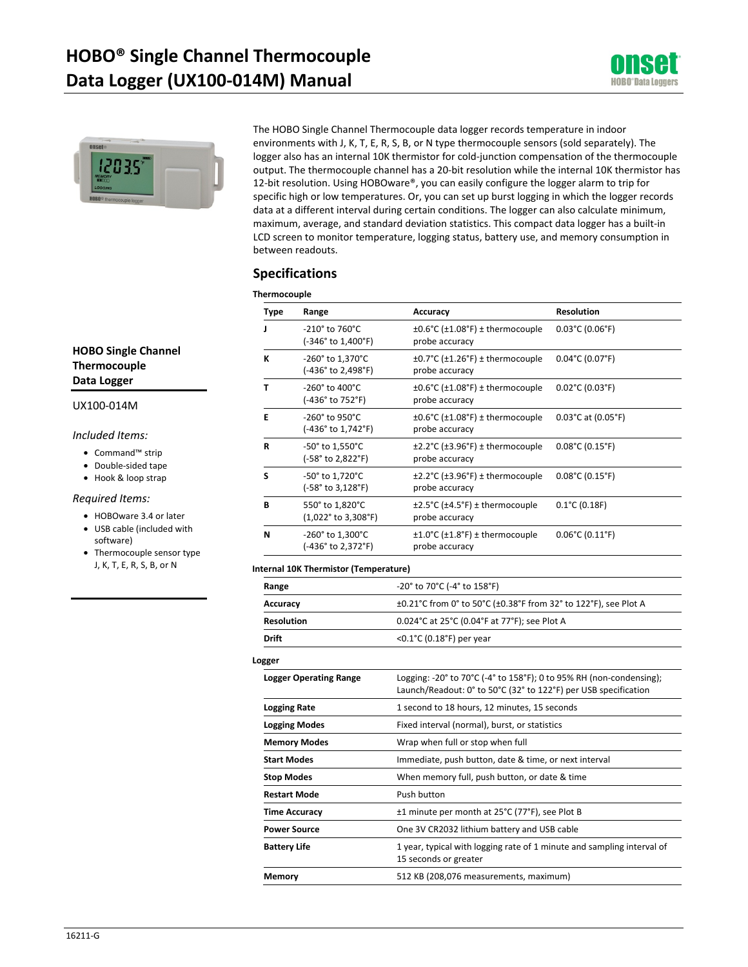



The HOBO Single Channel Thermocouple data logger records temperature in indoor environments with J, K, T, E, R, S, B, or N type thermocouple sensors (sold separately). The logger also has an internal 10K thermistor for cold-junction compensation of the thermocouple output. The thermocouple channel has a 20-bit resolution while the internal 10K thermistor has 12-bit resolution. Using HOBOware®, you can easily configure the logger alarm to trip for specific high or low temperatures. Or, you can set up burst logging in which the logger records data at a different interval during certain conditions. The logger can also calculate minimum, maximum, average, and standard deviation statistics. This compact data logger has a built-in LCD screen to monitor temperature, logging status, battery use, and memory consumption in between readouts.

### **Specifications**

#### **Thermocouple**

| <b>Type</b> | Range                                    | Accuracy                                                                         | <b>Resolution</b>                     |
|-------------|------------------------------------------|----------------------------------------------------------------------------------|---------------------------------------|
|             | -210° to 760°C<br>(-346° to 1,400°F)     | $\pm 0.6^{\circ}$ C ( $\pm 1.08^{\circ}$ F) $\pm$ thermocouple<br>probe accuracy | $0.03^{\circ}$ C (0.06°F)             |
| К           | -260° to 1,370°C<br>(-436° to 2,498°F)   | $\pm$ 0.7°C ( $\pm$ 1.26°F) $\pm$ thermocouple<br>probe accuracy                 | $0.04^{\circ}$ C (0.07°F)             |
| т           | -260° to 400°C<br>(-436° to 752°F)       | $\pm 0.6^{\circ}$ C ( $\pm 1.08^{\circ}$ F) $\pm$ thermocouple<br>probe accuracy | $0.02^{\circ}$ C (0.03 $^{\circ}$ F)  |
| E           | -260° to 950°C<br>(-436° to 1,742°F)     | $\pm 0.6^{\circ}$ C ( $\pm 1.08^{\circ}$ F) $\pm$ thermocouple<br>probe accuracy | $0.03^{\circ}$ C at $(0.05^{\circ}F)$ |
| R           | -50° to 1,550°C<br>(-58° to 2,822°F)     | $\pm$ 2.2°C ( $\pm$ 3.96°F) $\pm$ thermocouple<br>probe accuracy                 | $0.08^{\circ}$ C (0.15°F)             |
| S           | -50° to 1,720°C<br>(-58° to 3,128°F)     | $\pm$ 2.2°C ( $\pm$ 3.96°F) $\pm$ thermocouple<br>probe accuracy                 | $0.08^{\circ}$ C (0.15°F)             |
| В           | 550° to 1,820°C<br>$(1,022°$ to 3,308°F) | $\pm$ 2.5°C ( $\pm$ 4.5°F) $\pm$ thermocouple<br>probe accuracy                  | $0.1^{\circ}$ C (0.18F)               |
| N           | -260° to 1,300°C<br>(-436° to 2,372°F)   | $\pm 1.0^{\circ}$ C ( $\pm 1.8^{\circ}$ F) $\pm$ thermocouple<br>probe accuracy  | $0.06^{\circ}$ C (0.11 $^{\circ}$ F)  |

#### **Internal 10K Thermistor (Temperature)**

| Range             | $-20^{\circ}$ to 70°C (-4° to 158°F)                            |
|-------------------|-----------------------------------------------------------------|
| Accuracy          | ±0.21°C from 0° to 50°C (±0.38°F from 32° to 122°F), see Plot A |
| <b>Resolution</b> | 0.024°C at 25°C (0.04°F at 77°F); see Plot A                    |
| <b>Drift</b>      | < $0.1^{\circ}$ C (0.18 $^{\circ}$ F) per year                  |
|                   |                                                                 |

#### **Logger**

| י כם                                                    |                                                                                                                                                                                 |
|---------------------------------------------------------|---------------------------------------------------------------------------------------------------------------------------------------------------------------------------------|
| <b>Logger Operating Range</b>                           | Logging: $-20^{\circ}$ to 70 $^{\circ}$ C ( $-4^{\circ}$ to 158 $^{\circ}$ F); 0 to 95% RH (non-condensing);<br>Launch/Readout: 0° to 50°C (32° to 122°F) per USB specification |
| <b>Logging Rate</b>                                     | 1 second to 18 hours, 12 minutes, 15 seconds                                                                                                                                    |
| <b>Logging Modes</b>                                    | Fixed interval (normal), burst, or statistics                                                                                                                                   |
| Wrap when full or stop when full<br><b>Memory Modes</b> |                                                                                                                                                                                 |
| <b>Start Modes</b>                                      | Immediate, push button, date & time, or next interval                                                                                                                           |
| <b>Stop Modes</b>                                       | When memory full, push button, or date & time                                                                                                                                   |
| <b>Restart Mode</b>                                     | Push button                                                                                                                                                                     |
| Time Accuracy                                           | ±1 minute per month at 25°C (77°F), see Plot B                                                                                                                                  |
| <b>Power Source</b>                                     | One 3V CR2032 lithium battery and USB cable                                                                                                                                     |
| <b>Battery Life</b>                                     | 1 year, typical with logging rate of 1 minute and sampling interval of<br>15 seconds or greater                                                                                 |
| Memory                                                  | 512 KB (208,076 measurements, maximum)                                                                                                                                          |

#### **HOBO Single Channel Thermocouple Data Logger**

#### UX100-014M

#### *Included Items:*

- Command™ strip
- Double-sided tape
- Hook & loop strap

#### *Required Items:*

- HOBOware 3.4 or later
- USB cable (included with software)
- Thermocouple sensor type J, K, T, E, R, S, B, or N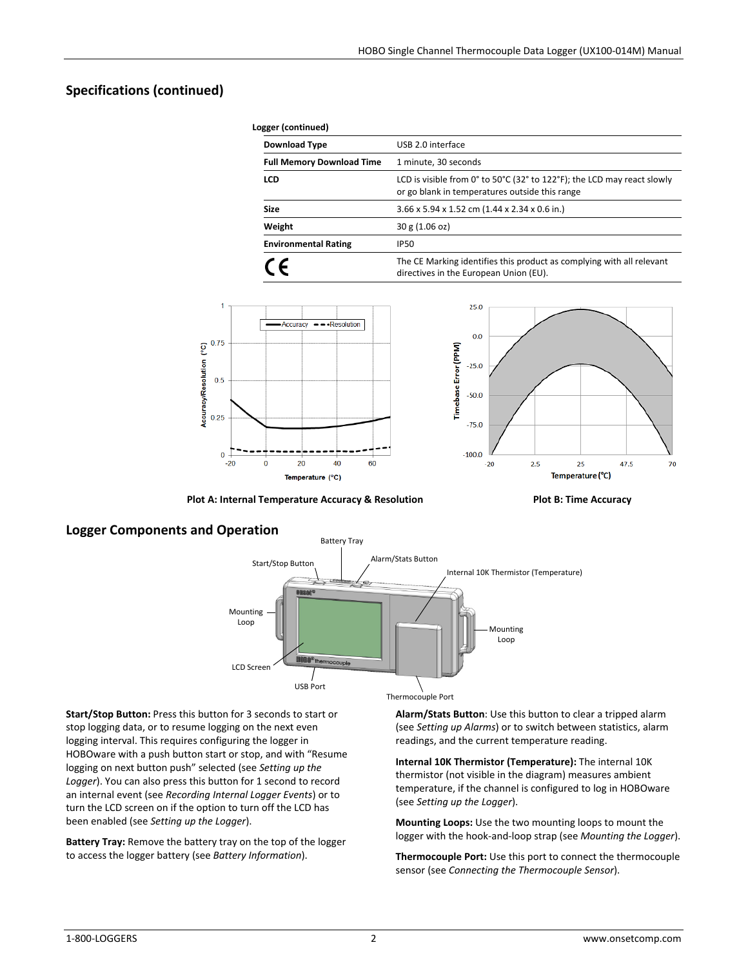### **Specifications (continued)**

| Logger (continued)               |                                                                                                                           |
|----------------------------------|---------------------------------------------------------------------------------------------------------------------------|
| <b>Download Type</b>             | USB 2.0 interface                                                                                                         |
| <b>Full Memory Download Time</b> | 1 minute, 30 seconds                                                                                                      |
| <b>LCD</b>                       | LCD is visible from 0° to 50°C (32° to 122°F); the LCD may react slowly<br>or go blank in temperatures outside this range |
| <b>Size</b>                      | 3.66 x 5.94 x 1.52 cm (1.44 x 2.34 x 0.6 in.)                                                                             |
| Weight                           | 30 g (1.06 oz)                                                                                                            |
| <b>Environmental Rating</b>      | <b>IP50</b>                                                                                                               |
|                                  | The CE Marking identifies this product as complying with all relevant<br>directives in the European Union (EU).           |



Plot A: Internal Temperature Accuracy & Resolution Plot B: Time Accuracy

### **Logger Components and Operation**



**Start/Stop Button:** Press this button for 3 seconds to start or stop logging data, or to resume logging on the next even logging interval. This requires configuring the logger in HOBOware with a push button start or stop, and with "Resume logging on next button push" selected (see *Setting up the Logger*). You can also press this button for 1 second to record an internal event (see *Recording Internal Logger Events*) or to turn the LCD screen on if the option to turn off the LCD has been enabled (see *Setting up the Logger*).

**Battery Tray:** Remove the battery tray on the top of the logger to access the logger battery (see *Battery Information*).

**Alarm/Stats Button**: Use this button to clear a tripped alarm (see *Setting up Alarms*) or to switch between statistics, alarm readings, and the current temperature reading.

**Internal 10K Thermistor (Temperature):** The internal 10K thermistor (not visible in the diagram) measures ambient temperature, if the channel is configured to log in HOBOware (see *Setting up the Logger*).

**Mounting Loops:** Use the two mounting loops to mount the logger with the hook-and-loop strap (see *Mounting the Logger*).

**Thermocouple Port:** Use this port to connect the thermocouple sensor (see *Connecting the Thermocouple Sensor*).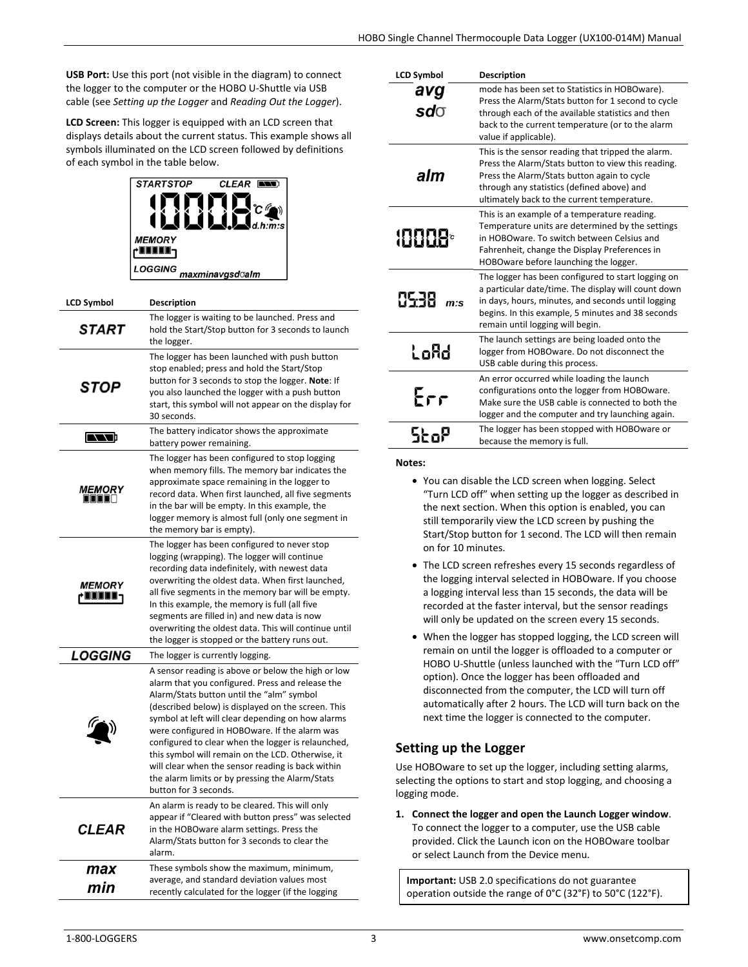**USB Port:** Use this port (not visible in the diagram) to connect the logger to the computer or the HOBO U-Shuttle via USB cable (see *Setting up the Logger* and *Reading Out the Logger*).

**LCD Screen:** This logger is equipped with an LCD screen that displays details about the current status. This example shows all symbols illuminated on the LCD screen followed by definitions of each symbol in the table below.



| <b>LCD Symbol</b>                | <b>Description</b>                                                                                                                                                                                                                                                                                                                                                                                                                                                                                                                                                                                             |
|----------------------------------|----------------------------------------------------------------------------------------------------------------------------------------------------------------------------------------------------------------------------------------------------------------------------------------------------------------------------------------------------------------------------------------------------------------------------------------------------------------------------------------------------------------------------------------------------------------------------------------------------------------|
| <b>START</b>                     | The logger is waiting to be launched. Press and<br>hold the Start/Stop button for 3 seconds to launch<br>the logger.                                                                                                                                                                                                                                                                                                                                                                                                                                                                                           |
| <b>STOP</b>                      | The logger has been launched with push button<br>stop enabled; press and hold the Start/Stop<br>button for 3 seconds to stop the logger. Note: If<br>you also launched the logger with a push button<br>start, this symbol will not appear on the display for<br>30 seconds.                                                                                                                                                                                                                                                                                                                                   |
| فلكتنا                           | The battery indicator shows the approximate<br>battery power remaining.                                                                                                                                                                                                                                                                                                                                                                                                                                                                                                                                        |
| <i><b>MEMORY</b></i><br>1000 L   | The logger has been configured to stop logging<br>when memory fills. The memory bar indicates the<br>approximate space remaining in the logger to<br>record data. When first launched, all five segments<br>in the bar will be empty. In this example, the<br>logger memory is almost full (only one segment in<br>the memory bar is empty).                                                                                                                                                                                                                                                                   |
| <i><b>MEMORY</b></i><br>د UUUU + | The logger has been configured to never stop<br>logging (wrapping). The logger will continue<br>recording data indefinitely, with newest data<br>overwriting the oldest data. When first launched,<br>all five segments in the memory bar will be empty.<br>In this example, the memory is full (all five<br>segments are filled in) and new data is now<br>overwriting the oldest data. This will continue until<br>the logger is stopped or the battery runs out.                                                                                                                                            |
| <b>LOGGING</b>                   | The logger is currently logging.                                                                                                                                                                                                                                                                                                                                                                                                                                                                                                                                                                               |
|                                  | A sensor reading is above or below the high or low<br>alarm that you configured. Press and release the<br>Alarm/Stats button until the "alm" symbol<br>(described below) is displayed on the screen. This<br>symbol at left will clear depending on how alarms<br>were configured in HOBOware. If the alarm was<br>configured to clear when the logger is relaunched,<br>this symbol will remain on the LCD. Otherwise, it<br>will clear when the sensor reading is back within<br>the alarm limits or by pressing the Alarm/Stats<br>button for 3 seconds.<br>An alarm is ready to be cleared. This will only |
| CLEAR                            | appear if "Cleared with button press" was selected<br>in the HOBOware alarm settings. Press the<br>Alarm/Stats button for 3 seconds to clear the<br>alarm.                                                                                                                                                                                                                                                                                                                                                                                                                                                     |
| max<br>min                       | These symbols show the maximum, minimum,<br>average, and standard deviation values most<br>recently calculated for the logger (if the logging                                                                                                                                                                                                                                                                                                                                                                                                                                                                  |

| <b>LCD Symbol</b> | <b>Description</b>                                                                                                                                                                                                                                       |
|-------------------|----------------------------------------------------------------------------------------------------------------------------------------------------------------------------------------------------------------------------------------------------------|
| avg<br>$sd\sigma$ | mode has been set to Statistics in HOBOware).<br>Press the Alarm/Stats button for 1 second to cycle<br>through each of the available statistics and then<br>back to the current temperature (or to the alarm<br>value if applicable).                    |
| alm               | This is the sensor reading that tripped the alarm.<br>Press the Alarm/Stats button to view this reading.<br>Press the Alarm/Stats button again to cycle<br>through any statistics (defined above) and<br>ultimately back to the current temperature.     |
| <b>HOLE:</b>      | This is an example of a temperature reading.<br>Temperature units are determined by the settings<br>in HOBOware. To switch between Celsius and<br>Fahrenheit, change the Display Preferences in<br>HOBOware before launching the logger.                 |
| 0538 m:s          | The logger has been configured to start logging on<br>a particular date/time. The display will count down<br>in days, hours, minutes, and seconds until logging<br>begins. In this example, 5 minutes and 38 seconds<br>remain until logging will begin. |
| LoRd              | The launch settings are being loaded onto the<br>logger from HOBOware. Do not disconnect the<br>USB cable during this process.                                                                                                                           |
| Err               | An error occurred while loading the launch<br>configurations onto the logger from HOBOware.<br>Make sure the USB cable is connected to both the<br>logger and the computer and try launching again.                                                      |
| StoP              | The logger has been stopped with HOBOware or<br>because the memory is full.                                                                                                                                                                              |

#### **Notes:**

- You can disable the LCD screen when logging. Select "Turn LCD off" when setting up the logger as described in the next section. When this option is enabled, you can still temporarily view the LCD screen by pushing the Start/Stop button for 1 second. The LCD will then remain on for 10 minutes.
- The LCD screen refreshes every 15 seconds regardless of the logging interval selected in HOBOware. If you choose a logging interval less than 15 seconds, the data will be recorded at the faster interval, but the sensor readings will only be updated on the screen every 15 seconds.
- When the logger has stopped logging, the LCD screen will remain on until the logger is offloaded to a computer or HOBO U-Shuttle (unless launched with the "Turn LCD off" option). Once the logger has been offloaded and disconnected from the computer, the LCD will turn off automatically after 2 hours. The LCD will turn back on the next time the logger is connected to the computer.

## **Setting up the Logger**

Use HOBOware to set up the logger, including setting alarms, selecting the options to start and stop logging, and choosing a logging mode.

**1. Connect the logger and open the Launch Logger window**. To connect the logger to a computer, use the USB cable provided. Click the Launch icon on the HOBOware toolbar or select Launch from the Device menu.

**Important:** USB 2.0 specifications do not guarantee operation outside the range of 0°C (32°F) to 50°C (122°F).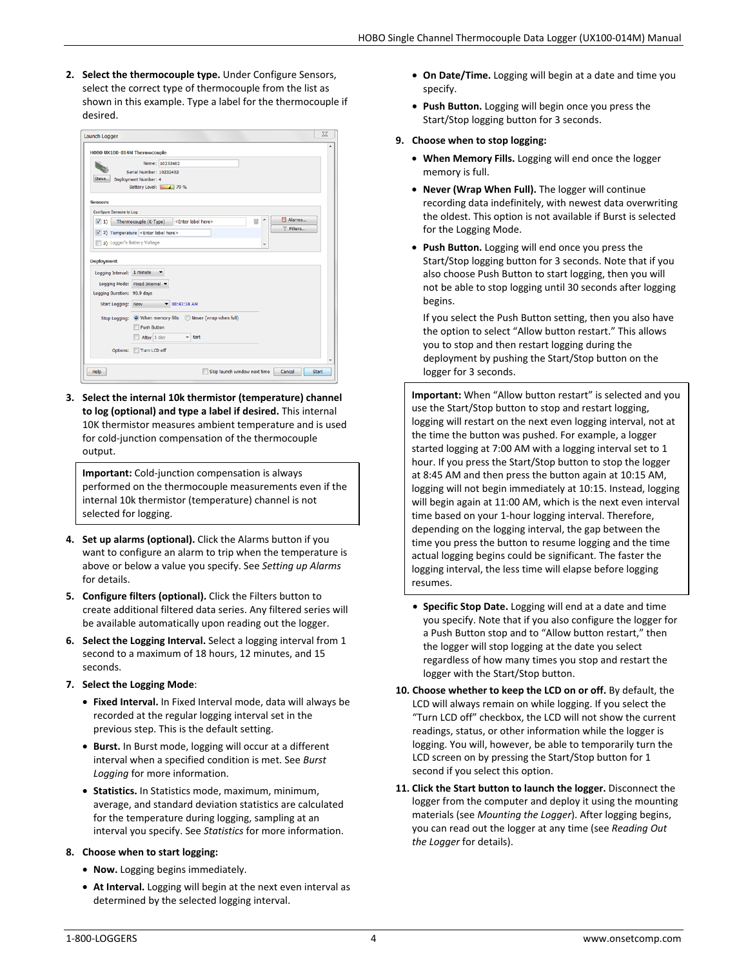**2. Select the thermocouple type.** Under Configure Sensors, select the correct type of thermocouple from the list as shown in this example. Type a label for the thermocouple if desired.

|                                          | HOBO UX100-014M Thermocouple                      |                                                              |    |         |
|------------------------------------------|---------------------------------------------------|--------------------------------------------------------------|----|---------|
|                                          | Name: 10232402                                    |                                                              |    |         |
|                                          | <b>Serial Number: 10232402</b>                    |                                                              |    |         |
| Status.                                  | Deployment Number: 4                              |                                                              |    |         |
|                                          | Battery Level: 4 79 %                             |                                                              |    |         |
| <b>Sensors</b>                           |                                                   |                                                              |    |         |
| Configure Sensors to Log:                |                                                   |                                                              |    |         |
|                                          | $\sqrt{1}$ Thermocouple (K-Type)                  | <enter here="" label=""></enter>                             | 88 | Alarms  |
|                                          |                                                   |                                                              |    | Filters |
|                                          | √ 2) Temperature <enter here="" label=""></enter> |                                                              |    |         |
|                                          | 3) Logger's Battery Voltage                       |                                                              |    |         |
|                                          |                                                   |                                                              |    |         |
| Deployment<br>Logging Interval: 1 minute |                                                   |                                                              |    |         |
|                                          | Logging Mode: Fixed Interval                      |                                                              |    |         |
| Logging Duration: 90.9 days              |                                                   |                                                              |    |         |
| Start Logging: Now                       |                                                   | $-08:43:38$ AM                                               |    |         |
|                                          |                                                   | Stop Logging: O When memory fills   O Never (wrap when full) |    |         |
|                                          | <b>Push Button</b>                                |                                                              |    |         |
|                                          | After 1 day                                       | $-$ tart                                                     |    |         |

**3. Select the internal 10k thermistor (temperature) channel to log (optional) and type a label if desired.** This internal 10K thermistor measures ambient temperature and is used for cold-junction compensation of the thermocouple output.

**Important:** Cold-junction compensation is always performed on the thermocouple measurements even if the internal 10k thermistor (temperature) channel is not selected for logging.

- **4. Set up alarms (optional).** Click the Alarms button if you want to configure an alarm to trip when the temperature is above or below a value you specify. See *Setting up Alarms* for details.
- **5. Configure filters (optional).** Click the Filters button to create additional filtered data series. Any filtered series will be available automatically upon reading out the logger.
- **6. Select the Logging Interval.** Select a logging interval from 1 second to a maximum of 18 hours, 12 minutes, and 15 seconds.
- **7. Select the Logging Mode**:
	- **Fixed Interval.** In Fixed Interval mode, data will always be recorded at the regular logging interval set in the previous step. This is the default setting.
	- **Burst.** In Burst mode, logging will occur at a different interval when a specified condition is met. See *Burst Logging* for more information.
	- **Statistics.** In Statistics mode, maximum, minimum, average, and standard deviation statistics are calculated for the temperature during logging, sampling at an interval you specify. See *Statistics* for more information.
- **8. Choose when to start logging:** 
	- **Now.** Logging begins immediately.
	- **At Interval.** Logging will begin at the next even interval as determined by the selected logging interval.
- **On Date/Time.** Logging will begin at a date and time you specify.
- **Push Button.** Logging will begin once you press the Start/Stop logging button for 3 seconds.

#### **9. Choose when to stop logging:**

- **When Memory Fills.** Logging will end once the logger memory is full.
- **Never (Wrap When Full).** The logger will continue recording data indefinitely, with newest data overwriting the oldest. This option is not available if Burst is selected for the Logging Mode.
- **Push Button.** Logging will end once you press the Start/Stop logging button for 3 seconds. Note that if you also choose Push Button to start logging, then you will not be able to stop logging until 30 seconds after logging begins.

If you select the Push Button setting, then you also have the option to select "Allow button restart." This allows you to stop and then restart logging during the deployment by pushing the Start/Stop button on the logger for 3 seconds.

**Important:** When "Allow button restart" is selected and you use the Start/Stop button to stop and restart logging, logging will restart on the next even logging interval, not at the time the button was pushed. For example, a logger started logging at 7:00 AM with a logging interval set to 1 hour. If you press the Start/Stop button to stop the logger at 8:45 AM and then press the button again at 10:15 AM, logging will not begin immediately at 10:15. Instead, logging will begin again at 11:00 AM, which is the next even interval time based on your 1-hour logging interval. Therefore, depending on the logging interval, the gap between the time you press the button to resume logging and the time actual logging begins could be significant. The faster the logging interval, the less time will elapse before logging resumes.

- **Specific Stop Date.** Logging will end at a date and time you specify. Note that if you also configure the logger for a Push Button stop and to "Allow button restart," then the logger will stop logging at the date you select regardless of how many times you stop and restart the logger with the Start/Stop button.
- **10. Choose whether to keep the LCD on or off.** By default, the LCD will always remain on while logging. If you select the "Turn LCD off" checkbox, the LCD will not show the current readings, status, or other information while the logger is logging. You will, however, be able to temporarily turn the LCD screen on by pressing the Start/Stop button for 1 second if you select this option.
- **11. Click the Start button to launch the logger.** Disconnect the logger from the computer and deploy it using the mounting materials (see *Mounting the Logger*). After logging begins, you can read out the logger at any time (see *Reading Out the Logger* for details).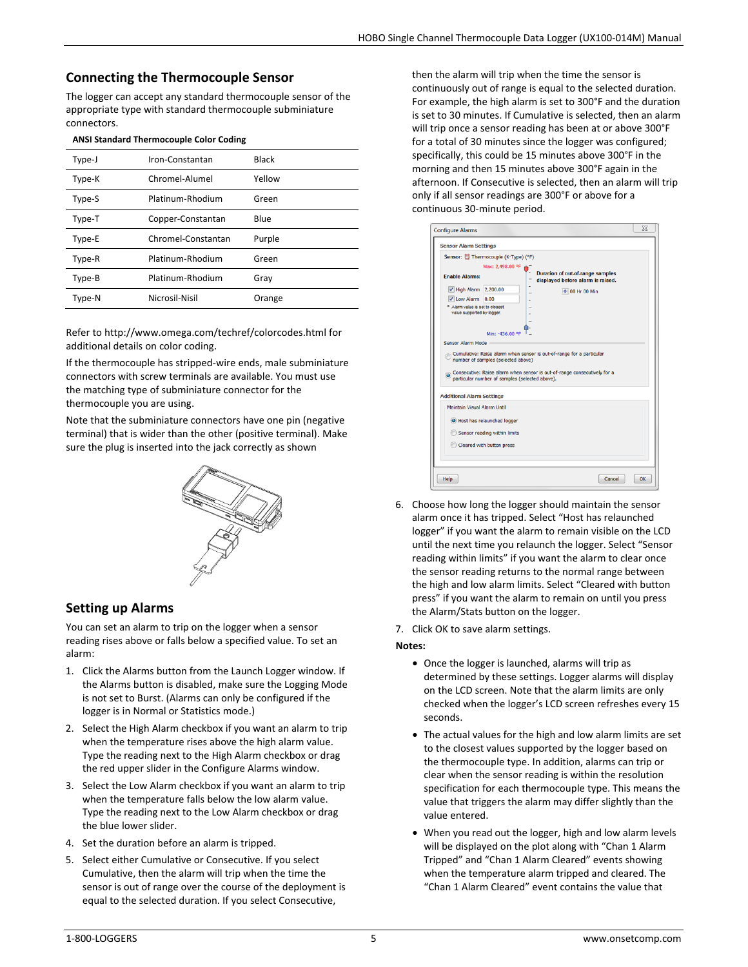# **Connecting the Thermocouple Sensor**

The logger can accept any standard thermocouple sensor of the appropriate type with standard thermocouple subminiature connectors.

#### **ANSI Standard Thermocouple Color Coding**

| Type-J | Iron-Constantan    | Black  |
|--------|--------------------|--------|
| Type-K | Chromel-Alumel     | Yellow |
| Type-S | Platinum-Rhodium   | Green  |
| Type-T | Copper-Constantan  | Blue   |
| Type-E | Chromel-Constantan | Purple |
| Type-R | Platinum-Rhodium   | Green  |
| Type-B | Platinum-Rhodium   | Gray   |
| Type-N | Nicrosil-Nisil     | Orange |

Refer to http://www.omega.com/techref/colorcodes.html for additional details on color coding.

If the thermocouple has stripped-wire ends, male subminiature connectors with screw terminals are available. You must use the matching type of subminiature connector for the thermocouple you are using.

Note that the subminiature connectors have one pin (negative terminal) that is wider than the other (positive terminal). Make sure the plug is inserted into the jack correctly as shown



## **Setting up Alarms**

You can set an alarm to trip on the logger when a sensor reading rises above or falls below a specified value. To set an alarm:

- 1. Click the Alarms button from the Launch Logger window. If the Alarms button is disabled, make sure the Logging Mode is not set to Burst. (Alarms can only be configured if the logger is in Normal or Statistics mode.)
- 2. Select the High Alarm checkbox if you want an alarm to trip when the temperature rises above the high alarm value. Type the reading next to the High Alarm checkbox or drag the red upper slider in the Configure Alarms window.
- 3. Select the Low Alarm checkbox if you want an alarm to trip when the temperature falls below the low alarm value. Type the reading next to the Low Alarm checkbox or drag the blue lower slider.
- 4. Set the duration before an alarm is tripped.
- 5. Select either Cumulative or Consecutive. If you select Cumulative, then the alarm will trip when the time the sensor is out of range over the course of the deployment is equal to the selected duration. If you select Consecutive,

then the alarm will trip when the time the sensor is continuously out of range is equal to the selected duration. For example, the high alarm is set to 300°F and the duration is set to 30 minutes. If Cumulative is selected, then an alarm will trip once a sensor reading has been at or above 300°F for a total of 30 minutes since the logger was configured; specifically, this could be 15 minutes above 300°F in the morning and then 15 minutes above 300°F again in the afternoon. If Consecutive is selected, then an alarm will trip only if all sensor readings are 300°F or above for a continuous 30-minute period.

| <b>Enable Alarms:</b><br>V High Alarm 2,200.00                                    | Sensor: Thermocouple (K-Type) (°F)<br>Max: 2,498.00 °F                               | <b>Duration of out-of-range samples</b><br>displayed before alarm is raised.<br>+ 00 Hr 00 Min |  |
|-----------------------------------------------------------------------------------|--------------------------------------------------------------------------------------|------------------------------------------------------------------------------------------------|--|
| V Low Alarm 0.00<br>* Alarm value is set to closest<br>value supported by logger. |                                                                                      |                                                                                                |  |
|                                                                                   |                                                                                      | Cumulative: Raise alarm when sensor is out-of-range for a particular                           |  |
|                                                                                   | number of samples (selected above)<br>particular number of samples (selected above). | Consecutive: Raise alarm when sensor is out-of-range consecutively for a                       |  |
|                                                                                   |                                                                                      |                                                                                                |  |
| Maintain Visual Alarm Until                                                       |                                                                                      |                                                                                                |  |
| <b>Additional Alarm Settings</b>                                                  | O Host has relaunched logger<br>Sensor reading within limits                         |                                                                                                |  |

- 6. Choose how long the logger should maintain the sensor alarm once it has tripped. Select "Host has relaunched logger" if you want the alarm to remain visible on the LCD until the next time you relaunch the logger. Select "Sensor reading within limits" if you want the alarm to clear once the sensor reading returns to the normal range between the high and low alarm limits. Select "Cleared with button press" if you want the alarm to remain on until you press the Alarm/Stats button on the logger.
- 7. Click OK to save alarm settings.

#### **Notes:**

- Once the logger is launched, alarms will trip as determined by these settings. Logger alarms will display on the LCD screen. Note that the alarm limits are only checked when the logger's LCD screen refreshes every 15 seconds.
- The actual values for the high and low alarm limits are set to the closest values supported by the logger based on the thermocouple type. In addition, alarms can trip or clear when the sensor reading is within the resolution specification for each thermocouple type. This means the value that triggers the alarm may differ slightly than the value entered.
- When you read out the logger, high and low alarm levels will be displayed on the plot along with "Chan 1 Alarm Tripped" and "Chan 1 Alarm Cleared" events showing when the temperature alarm tripped and cleared. The "Chan 1 Alarm Cleared" event contains the value that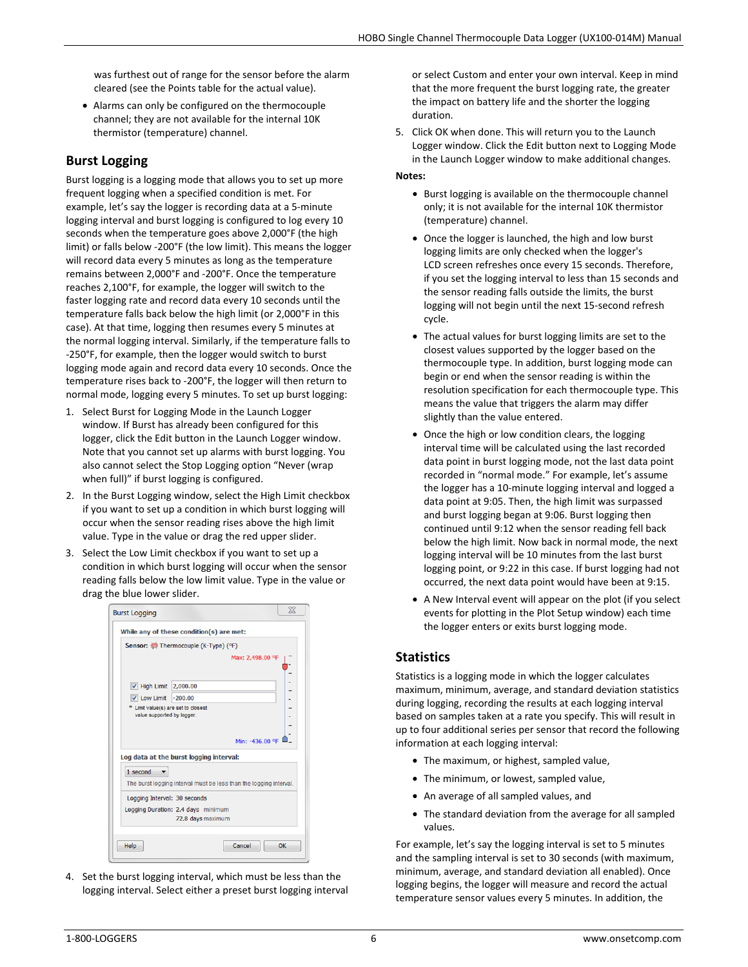was furthest out of range for the sensor before the alarm cleared (see the Points table for the actual value).

• Alarms can only be configured on the thermocouple channel; they are not available for the internal 10K thermistor (temperature) channel.

# **Burst Logging**

Burst logging is a logging mode that allows you to set up more frequent logging when a specified condition is met. For example, let's say the logger is recording data at a 5-minute logging interval and burst logging is configured to log every 10 seconds when the temperature goes above 2,000°F (the high limit) or falls below -200°F (the low limit). This means the logger will record data every 5 minutes as long as the temperature remains between 2,000°F and -200°F. Once the temperature reaches 2,100°F, for example, the logger will switch to the faster logging rate and record data every 10 seconds until the temperature falls back below the high limit (or 2,000°F in this case). At that time, logging then resumes every 5 minutes at the normal logging interval. Similarly, if the temperature falls to -250°F, for example, then the logger would switch to burst logging mode again and record data every 10 seconds. Once the temperature rises back to -200°F, the logger will then return to normal mode, logging every 5 minutes. To set up burst logging:

- 1. Select Burst for Logging Mode in the Launch Logger window. If Burst has already been configured for this logger, click the Edit button in the Launch Logger window. Note that you cannot set up alarms with burst logging. You also cannot select the Stop Logging option "Never (wrap when full)" if burst logging is configured.
- 2. In the Burst Logging window, select the High Limit checkbox if you want to set up a condition in which burst logging will occur when the sensor reading rises above the high limit value. Type in the value or drag the red upper slider.
- 3. Select the Low Limit checkbox if you want to set up a condition in which burst logging will occur when the sensor reading falls below the low limit value. Type in the value or drag the blue lower slider.

|                                                                   | Sensor: Fremocouple (K-Type) (°F)                                  |  |
|-------------------------------------------------------------------|--------------------------------------------------------------------|--|
|                                                                   |                                                                    |  |
|                                                                   | Max: 2,498.00 °F                                                   |  |
|                                                                   |                                                                    |  |
| V High Limit 2,000.00                                             |                                                                    |  |
| $\triangledown$ Low Limit -200.00                                 |                                                                    |  |
| * Limit value(s) are set to closest<br>value supported by logger. |                                                                    |  |
|                                                                   |                                                                    |  |
|                                                                   |                                                                    |  |
|                                                                   | Min: -436.00 °F                                                    |  |
|                                                                   | Log data at the burst logging interval:                            |  |
| 1 second                                                          |                                                                    |  |
|                                                                   | The burst logging interval must be less than the logging interval. |  |
| Logging Interval: 30 seconds                                      |                                                                    |  |
|                                                                   | Logging Duration: 2.4 days minimum                                 |  |

4. Set the burst logging interval, which must be less than the logging interval. Select either a preset burst logging interval or select Custom and enter your own interval. Keep in mind that the more frequent the burst logging rate, the greater the impact on battery life and the shorter the logging duration.

5. Click OK when done. This will return you to the Launch Logger window. Click the Edit button next to Logging Mode in the Launch Logger window to make additional changes.

#### **Notes:**

- Burst logging is available on the thermocouple channel only; it is not available for the internal 10K thermistor (temperature) channel.
- Once the logger is launched, the high and low burst logging limits are only checked when the logger's LCD screen refreshes once every 15 seconds. Therefore, if you set the logging interval to less than 15 seconds and the sensor reading falls outside the limits, the burst logging will not begin until the next 15-second refresh cycle.
- The actual values for burst logging limits are set to the closest values supported by the logger based on the thermocouple type. In addition, burst logging mode can begin or end when the sensor reading is within the resolution specification for each thermocouple type. This means the value that triggers the alarm may differ slightly than the value entered.
- Once the high or low condition clears, the logging interval time will be calculated using the last recorded data point in burst logging mode, not the last data point recorded in "normal mode." For example, let's assume the logger has a 10-minute logging interval and logged a data point at 9:05. Then, the high limit was surpassed and burst logging began at 9:06. Burst logging then continued until 9:12 when the sensor reading fell back below the high limit. Now back in normal mode, the next logging interval will be 10 minutes from the last burst logging point, or 9:22 in this case. If burst logging had not occurred, the next data point would have been at 9:15.
- A New Interval event will appear on the plot (if you select events for plotting in the Plot Setup window) each time the logger enters or exits burst logging mode.

# **Statistics**

Statistics is a logging mode in which the logger calculates maximum, minimum, average, and standard deviation statistics during logging, recording the results at each logging interval based on samples taken at a rate you specify. This will result in up to four additional series per sensor that record the following information at each logging interval:

- The maximum, or highest, sampled value,
- The minimum, or lowest, sampled value,
- An average of all sampled values, and
- The standard deviation from the average for all sampled values.

For example, let's say the logging interval is set to 5 minutes and the sampling interval is set to 30 seconds (with maximum, minimum, average, and standard deviation all enabled). Once logging begins, the logger will measure and record the actual temperature sensor values every 5 minutes. In addition, the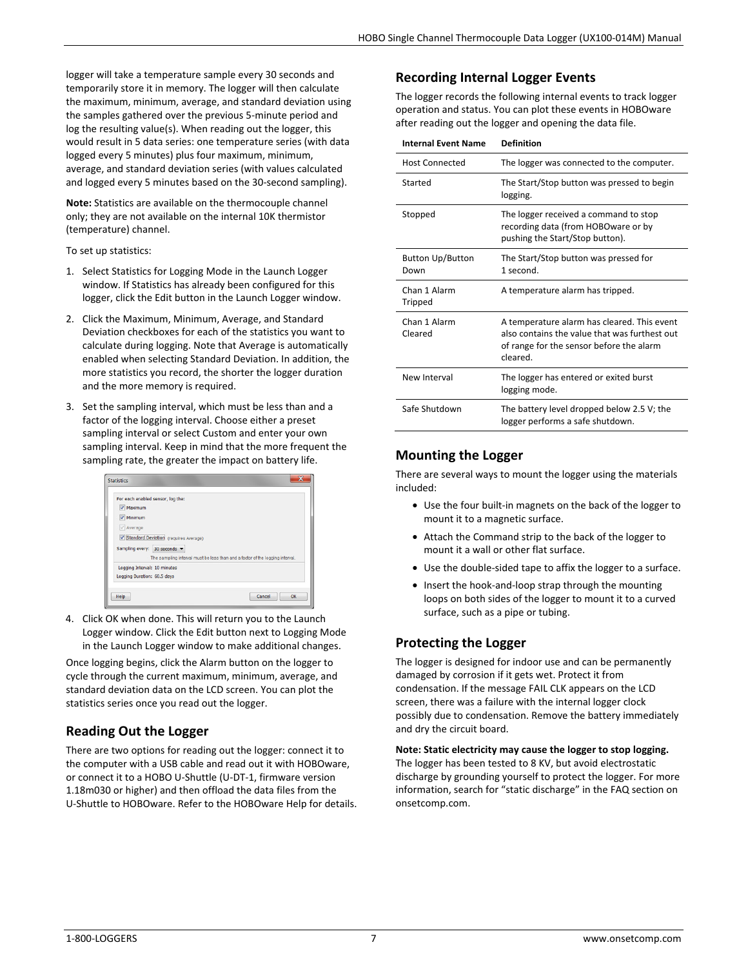logger will take a temperature sample every 30 seconds and temporarily store it in memory. The logger will then calculate the maximum, minimum, average, and standard deviation using the samples gathered over the previous 5-minute period and log the resulting value(s). When reading out the logger, this would result in 5 data series: one temperature series (with data logged every 5 minutes) plus four maximum, minimum, average, and standard deviation series (with values calculated and logged every 5 minutes based on the 30-second sampling).

**Note:** Statistics are available on the thermocouple channel only; they are not available on the internal 10K thermistor (temperature) channel.

To set up statistics:

- 1. Select Statistics for Logging Mode in the Launch Logger window. If Statistics has already been configured for this logger, click the Edit button in the Launch Logger window.
- 2. Click the Maximum, Minimum, Average, and Standard Deviation checkboxes for each of the statistics you want to calculate during logging. Note that Average is automatically enabled when selecting Standard Deviation. In addition, the more statistics you record, the shorter the logger duration and the more memory is required.
- 3. Set the sampling interval, which must be less than and a factor of the logging interval. Choose either a preset sampling interval or select Custom and enter your own sampling interval. Keep in mind that the more frequent the sampling rate, the greater the impact on battery life.

|                              | For each enabled sensor, log the:                                             |
|------------------------------|-------------------------------------------------------------------------------|
| V Maximum                    |                                                                               |
| V Minimum                    |                                                                               |
| $\sqrt{ }$ Average           |                                                                               |
|                              | Standard Deviation (requires Average)                                         |
| Sampling every: 30 seconds ▼ |                                                                               |
|                              | The sampling interval must be less than and a factor of the logging interval. |
| Logging Interval: 10 minutes |                                                                               |
| Logging Duration: 60.5 days  |                                                                               |

4. Click OK when done. This will return you to the Launch Logger window. Click the Edit button next to Logging Mode in the Launch Logger window to make additional changes.

Once logging begins, click the Alarm button on the logger to cycle through the current maximum, minimum, average, and standard deviation data on the LCD screen. You can plot the statistics series once you read out the logger.

# **Reading Out the Logger**

There are two options for reading out the logger: connect it to the computer with a USB cable and read out it with HOBOware, or connect it to a HOBO U-Shuttle (U-DT-1, firmware version 1.18m030 or higher) and then offload the data files from the U-Shuttle to HOBOware. Refer to the HOBOware Help for details.

### **Recording Internal Logger Events**

The logger records the following internal events to track logger operation and status. You can plot these events in HOBOware after reading out the logger and opening the data file.

| <b>Internal Event Name</b>      | <b>Definition</b>                                                                                                                                    |
|---------------------------------|------------------------------------------------------------------------------------------------------------------------------------------------------|
| <b>Host Connected</b>           | The logger was connected to the computer.                                                                                                            |
| Started                         | The Start/Stop button was pressed to begin<br>logging.                                                                                               |
| Stopped                         | The logger received a command to stop<br>recording data (from HOBOware or by<br>pushing the Start/Stop button).                                      |
| <b>Button Up/Button</b><br>Down | The Start/Stop button was pressed for<br>1 second.                                                                                                   |
| Chan 1 Alarm<br>Tripped         | A temperature alarm has tripped.                                                                                                                     |
| Chan 1 Alarm<br>Cleared         | A temperature alarm has cleared. This event<br>also contains the value that was furthest out<br>of range for the sensor before the alarm<br>cleared. |
| New Interval                    | The logger has entered or exited burst<br>logging mode.                                                                                              |
| Safe Shutdown                   | The battery level dropped below 2.5 V; the<br>logger performs a safe shutdown.                                                                       |

## **Mounting the Logger**

There are several ways to mount the logger using the materials included:

- Use the four built-in magnets on the back of the logger to mount it to a magnetic surface.
- Attach the Command strip to the back of the logger to mount it a wall or other flat surface.
- Use the double-sided tape to affix the logger to a surface.
- Insert the hook-and-loop strap through the mounting loops on both sides of the logger to mount it to a curved surface, such as a pipe or tubing.

## **Protecting the Logger**

The logger is designed for indoor use and can be permanently damaged by corrosion if it gets wet. Protect it from condensation. If the message FAIL CLK appears on the LCD screen, there was a failure with the internal logger clock possibly due to condensation. Remove the battery immediately and dry the circuit board.

**Note: Static electricity may cause the logger to stop logging.** The logger has been tested to 8 KV, but avoid electrostatic discharge by grounding yourself to protect the logger. For more information, search for "static discharge" in the FAQ section on onsetcomp.com.